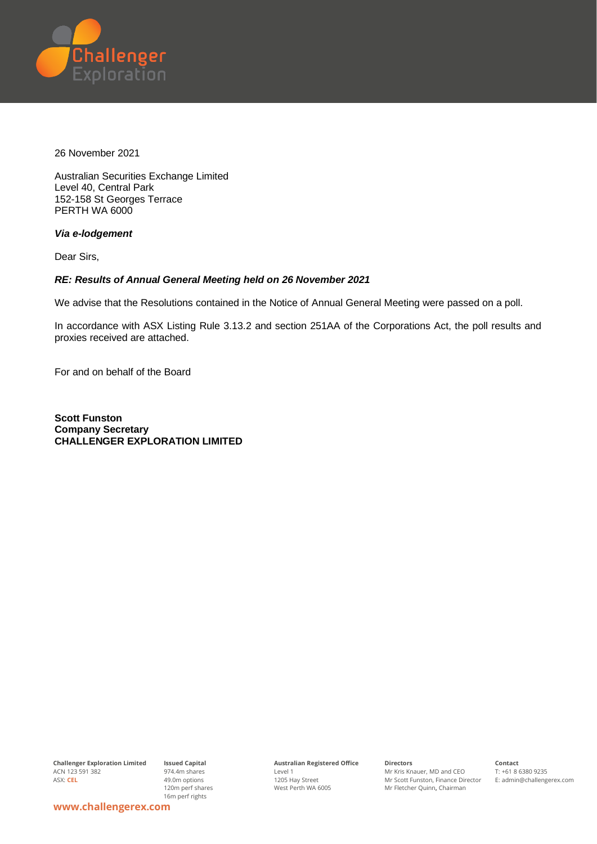

26 November 2021

Australian Securities Exchange Limited Level 40, Central Park 152-158 St Georges Terrace PERTH WA 6000

*Via e-lodgement*

Dear Sirs,

## *RE: Results of Annual General Meeting held on 26 November 2021*

We advise that the Resolutions contained in the Notice of Annual General Meeting were passed on a poll.

In accordance with ASX Listing Rule 3.13.2 and section 251AA of the Corporations Act, the poll results and proxies received are attached.

For and on behalf of the Board

**Scott Funston Company Secretary CHALLENGER EXPLORATION LIMITED**

**Challenger Exploration Limited** ACN 123 591 382 ASX: **CEL**

**Issued Capital** 974.4m shares 49.0m options 120m perf shares 16m perf rights

**Australian Registered Office** Level 1 1205 Hay Street West Perth WA 6005

**Directors** Mr Kris Knauer, MD and CEO Mr Scott Funston, Finance Director Mr Fletcher Quinn**,** Chairman

**Contact** T: +61 8 6380 9235 E: admin@challengerex.com